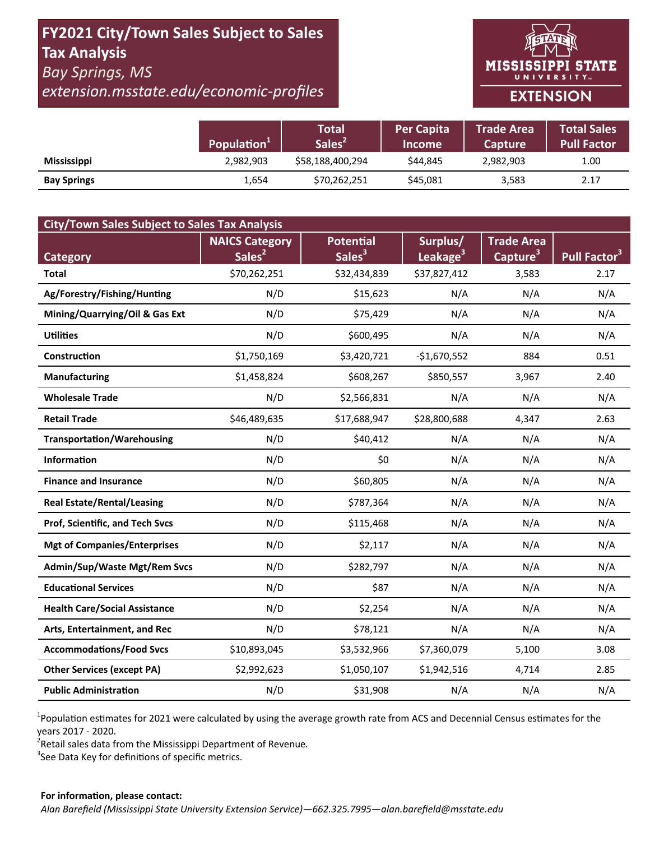# FY2021 City/Town Sales Subject to Sales **Tax Analysis Bay Springs, MS**

extension.msstate.edu/economic-profiles



|                    | Population <sup>1</sup> | Total<br>Sales <sup>2</sup> | <b>Per Capita</b><br><b>Income</b> | <b>Trade Area</b><br><b>Capture</b> | <b>Total Sales</b><br><b>Pull Factor</b> |
|--------------------|-------------------------|-----------------------------|------------------------------------|-------------------------------------|------------------------------------------|
| <b>Mississippi</b> | 2,982,903               | \$58,188,400,294            | \$44.845                           | 2,982,903                           | 1.00                                     |
| <b>Bay Springs</b> | 1,654                   | \$70,262,251                | \$45,081                           | 3,583                               | 2.17                                     |

| <b>City/Town Sales Subject to Sales Tax Analysis</b> |                       |                    |                      |                      |                          |  |  |  |  |
|------------------------------------------------------|-----------------------|--------------------|----------------------|----------------------|--------------------------|--|--|--|--|
|                                                      | <b>NAICS Category</b> | <b>Potential</b>   | Surplus/             | <b>Trade Area</b>    |                          |  |  |  |  |
| <b>Category</b>                                      | Sales <sup>2</sup>    | Sales <sup>3</sup> | Leakage <sup>3</sup> | Capture <sup>3</sup> | Pull Factor <sup>3</sup> |  |  |  |  |
| <b>Total</b>                                         | \$70,262,251          | \$32,434,839       | \$37,827,412         | 3,583                | 2.17                     |  |  |  |  |
| Ag/Forestry/Fishing/Hunting                          | N/D                   | \$15,623           | N/A                  | N/A                  | N/A                      |  |  |  |  |
| Mining/Quarrying/Oil & Gas Ext                       | N/D                   | \$75,429           | N/A                  | N/A                  | N/A                      |  |  |  |  |
| <b>Utilities</b>                                     | N/D                   | \$600,495          | N/A                  | N/A                  | N/A                      |  |  |  |  |
| Construction                                         | \$1,750,169           | \$3,420,721        | $-$1,670,552$        | 884                  | 0.51                     |  |  |  |  |
| <b>Manufacturing</b>                                 | \$1,458,824           | \$608,267          | \$850,557            | 3,967                | 2.40                     |  |  |  |  |
| <b>Wholesale Trade</b>                               | N/D                   | \$2,566,831        | N/A                  | N/A                  | N/A                      |  |  |  |  |
| <b>Retail Trade</b>                                  | \$46,489,635          | \$17,688,947       | \$28,800,688         | 4,347                | 2.63                     |  |  |  |  |
| <b>Transportation/Warehousing</b>                    | N/D                   | \$40,412           | N/A                  | N/A                  | N/A                      |  |  |  |  |
| <b>Information</b>                                   | N/D                   | \$0                | N/A                  | N/A                  | N/A                      |  |  |  |  |
| <b>Finance and Insurance</b>                         | N/D                   | \$60,805           | N/A                  | N/A                  | N/A                      |  |  |  |  |
| <b>Real Estate/Rental/Leasing</b>                    | N/D                   | \$787,364          | N/A                  | N/A                  | N/A                      |  |  |  |  |
| Prof, Scientific, and Tech Svcs                      | N/D                   | \$115,468          | N/A                  | N/A                  | N/A                      |  |  |  |  |
| <b>Mgt of Companies/Enterprises</b>                  | N/D                   | \$2,117            | N/A                  | N/A                  | N/A                      |  |  |  |  |
| <b>Admin/Sup/Waste Mgt/Rem Svcs</b>                  | N/D                   | \$282,797          | N/A                  | N/A                  | N/A                      |  |  |  |  |
| <b>Educational Services</b>                          | N/D                   | \$87               | N/A                  | N/A                  | N/A                      |  |  |  |  |
| <b>Health Care/Social Assistance</b>                 | N/D                   | \$2,254            | N/A                  | N/A                  | N/A                      |  |  |  |  |
| Arts, Entertainment, and Rec                         | N/D                   | \$78,121           | N/A                  | N/A                  | N/A                      |  |  |  |  |
| <b>Accommodations/Food Svcs</b>                      | \$10,893,045          | \$3,532,966        | \$7,360,079          | 5,100                | 3.08                     |  |  |  |  |
| <b>Other Services (except PA)</b>                    | \$2,992,623           | \$1,050,107        | \$1,942,516          | 4,714                | 2.85                     |  |  |  |  |
| <b>Public Administration</b>                         | N/D                   | \$31,908           | N/A                  | N/A                  | N/A                      |  |  |  |  |

<sup>1</sup>Population estimates for 2021 were calculated by using the average growth rate from ACS and Decennial Census estimates for the years 2017 - 2020.

<sup>2</sup>Retail sales data from the Mississippi Department of Revenue.

<sup>3</sup>See Data Key for definitions of specific metrics.

#### For information, please contact: Alan Barefield (Mississippi State University Extension Service)-662.325.7995-alan.barefield@msstate.edu